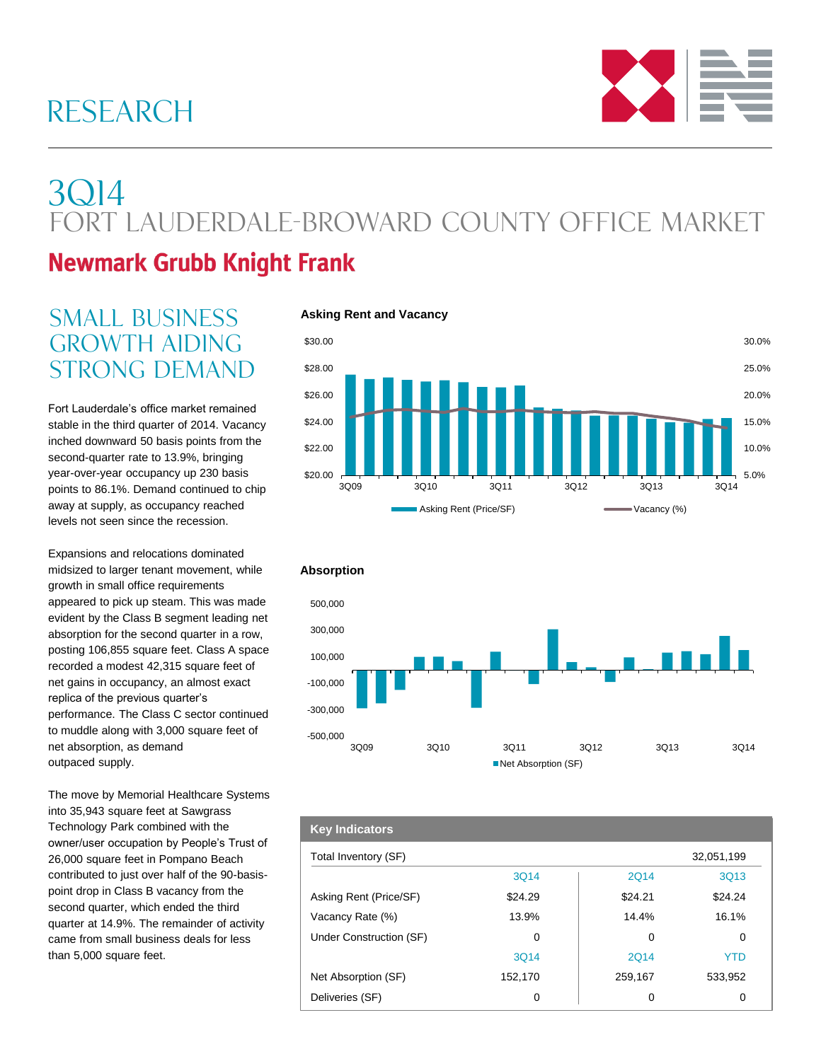# RESEARCH



# 3Q14 Fort Lauderdale-Broward County Office Market

## **Newmark Grubb Knight Frank**

## **SMALL BUSINESS** Asking Rent and Vacancy **GROWTH AIDING** strong demand

Fort Lauderdale's office market remained stable in the third quarter of 2014. Vacancy inched downward 50 basis points from the second-quarter rate to 13.9%, bringing year-over-year occupancy up 230 basis points to 86.1%. Demand continued to chip away at supply, as occupancy reached levels not seen since the recession.

Expansions and relocations dominated midsized to larger tenant movement, while growth in small office requirements appeared to pick up steam. This was made evident by the Class B segment leading net absorption for the second quarter in a row, posting 106,855 square feet. Class A space recorded a modest 42,315 square feet of net gains in occupancy, an almost exact replica of the previous quarter's performance. The Class C sector continued to muddle along with 3,000 square feet of net absorption, as demand outpaced supply.

The move by Memorial Healthcare Systems into 35,943 square feet at Sawgrass Technology Park combined with the owner/user occupation by People's Trust of 26,000 square feet in Pompano Beach contributed to just over half of the 90-basispoint drop in Class B vacancy from the second quarter, which ended the third quarter at 14.9%. The remainder of activity came from small business deals for less than 5,000 square feet.





| <b>Key Indicators</b>   |         |         |            |
|-------------------------|---------|---------|------------|
| Total Inventory (SF)    |         |         | 32,051,199 |
|                         | 3Q14    | 2Q14    | 3Q13       |
| Asking Rent (Price/SF)  | \$24.29 | \$24.21 | \$24.24    |
| Vacancy Rate (%)        | 13.9%   | 14.4%   | 16.1%      |
| Under Construction (SF) | 0       | 0       | 0          |
|                         | 3014    | 2014    | <b>YTD</b> |
| Net Absorption (SF)     | 152,170 | 259,167 | 533,952    |
| Deliveries (SF)         | 0       | 0       | 0          |

### **Absorption**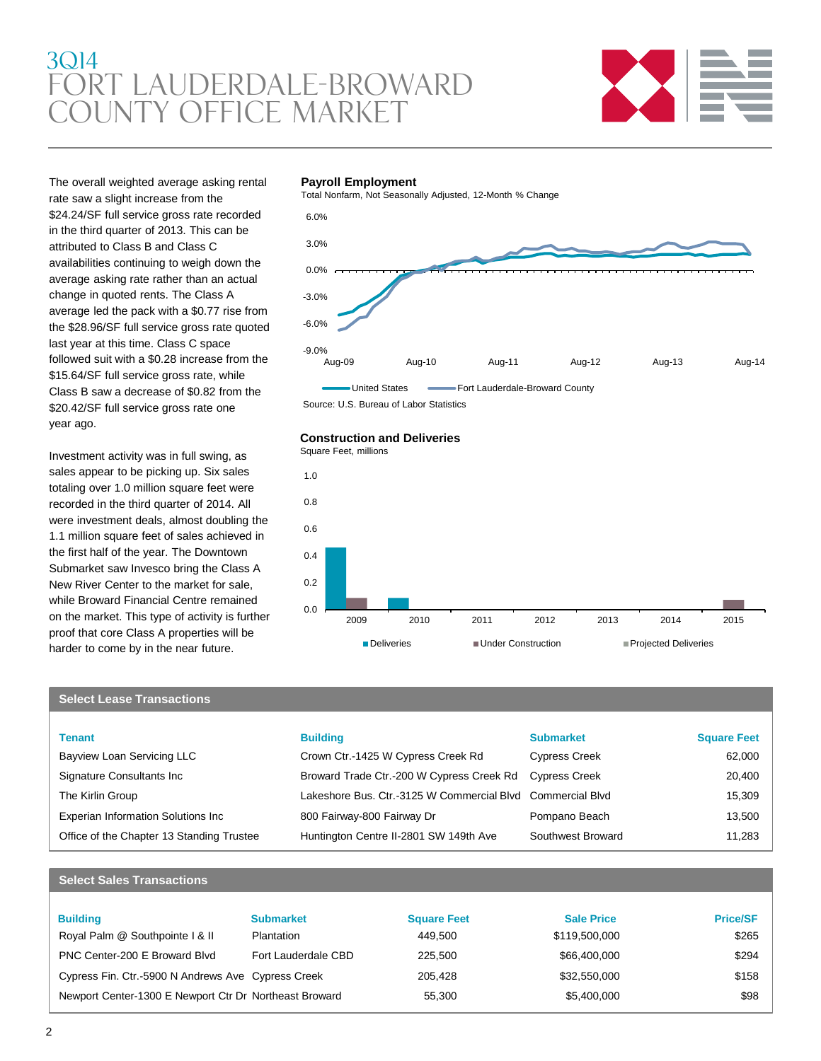## 3Q14 Fort Lauderdale-Broward County Office market



The overall weighted average asking rental rate saw a slight increase from the \$24.24/SF full service gross rate recorded in the third quarter of 2013. This can be attributed to Class B and Class C availabilities continuing to weigh down the average asking rate rather than an actual change in quoted rents. The Class A average led the pack with a \$0.77 rise from the \$28.96/SF full service gross rate quoted last year at this time. Class C space followed suit with a \$0.28 increase from the \$15.64/SF full service gross rate, while Class B saw a decrease of \$0.82 from the \$20.42/SF full service gross rate one year ago.

Investment activity was in full swing, as sales appear to be picking up. Six sales totaling over 1.0 million square feet were recorded in the third quarter of 2014. All were investment deals, almost doubling the 1.1 million square feet of sales achieved in the first half of the year. The Downtown Submarket saw Invesco bring the Class A New River Center to the market for sale, while Broward Financial Centre remained on the market. This type of activity is further proof that core Class A properties will be harder to come by in the near future.

#### **Payroll Employment**

Total Nonfarm, Not Seasonally Adjusted, 12-Month % Change



Source: U.S. Bureau of Labor Statistics

#### **Construction and Deliveries**



### **Select Lease Transactions**

| <b>Tenant</b>                             | <b>Building</b>                                            | <b>Submarket</b>     | <b>Square Feet</b> |
|-------------------------------------------|------------------------------------------------------------|----------------------|--------------------|
| Bayview Loan Servicing LLC                | Crown Ctr.-1425 W Cypress Creek Rd                         | <b>Cypress Creek</b> | 62,000             |
| Signature Consultants Inc                 | Broward Trade Ctr.-200 W Cypress Creek Rd Cypress Creek    |                      | 20,400             |
| The Kirlin Group                          | Lakeshore Bus, Ctr.-3125 W Commercial Blvd Commercial Blvd |                      | 15,309             |
| Experian Information Solutions Inc        | 800 Fairway-800 Fairway Dr                                 | Pompano Beach        | 13,500             |
| Office of the Chapter 13 Standing Trustee | Huntington Centre II-2801 SW 149th Ave                     | Southwest Broward    | 11.283             |

#### **Select Sales Transactions**

| <b>Building</b>                                        | <b>Submarket</b>    | <b>Square Feet</b> | <b>Sale Price</b> | <b>Price/SF</b> |
|--------------------------------------------------------|---------------------|--------------------|-------------------|-----------------|
|                                                        |                     |                    |                   |                 |
| Royal Palm @ Southpointe   & II                        | Plantation          | 449.500            | \$119,500,000     | \$265           |
| PNC Center-200 E Broward Blvd                          | Fort Lauderdale CBD | 225,500            | \$66,400,000      | \$294           |
| Cypress Fin. Ctr.-5900 N Andrews Ave Cypress Creek     |                     | 205.428            | \$32,550,000      | \$158           |
| Newport Center-1300 E Newport Ctr Dr Northeast Broward |                     | 55.300             | \$5,400,000       | \$98            |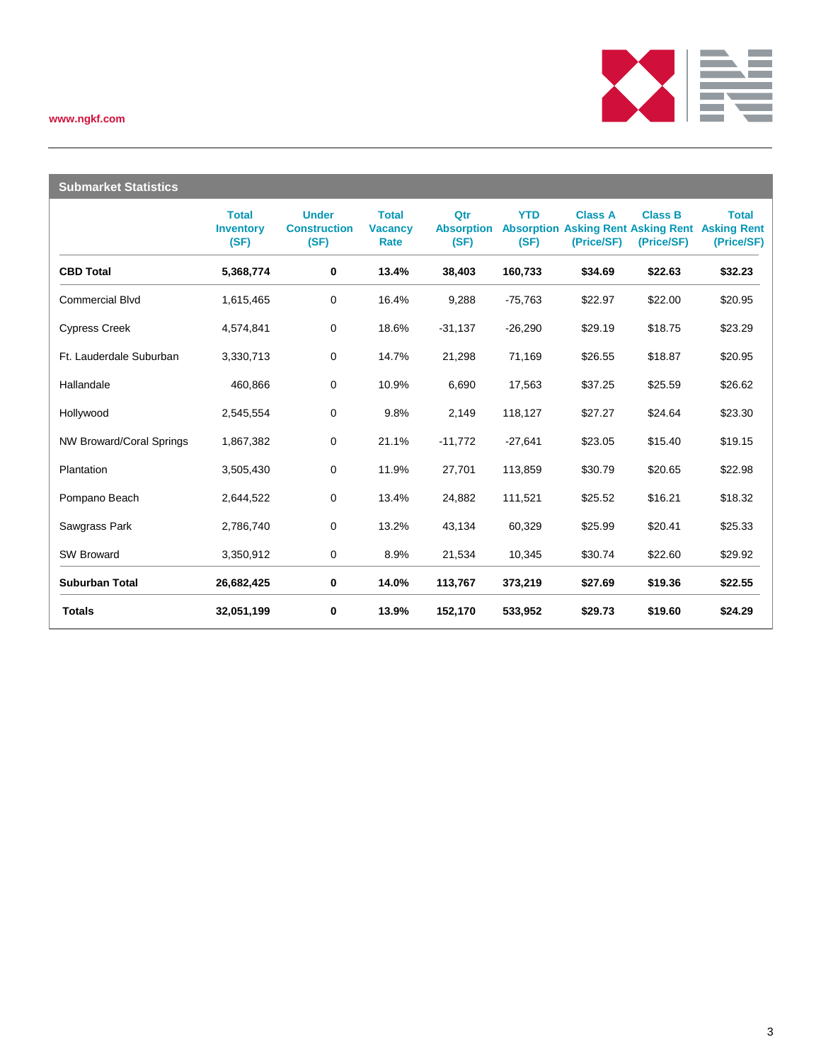### **www.ngkf.com**



| <b>Submarket Statistics</b>     |                                          |                                             |                                        |                                  |                                         |                              |                                                                |                                                  |
|---------------------------------|------------------------------------------|---------------------------------------------|----------------------------------------|----------------------------------|-----------------------------------------|------------------------------|----------------------------------------------------------------|--------------------------------------------------|
|                                 | <b>Total</b><br><b>Inventory</b><br>(SF) | <b>Under</b><br><b>Construction</b><br>(SF) | <b>Total</b><br><b>Vacancy</b><br>Rate | Qtr<br><b>Absorption</b><br>(SF) | <b>YTD</b><br><b>Absorption</b><br>(SF) | <b>Class A</b><br>(Price/SF) | <b>Class B</b><br><b>Asking Rent Asking Rent</b><br>(Price/SF) | <b>Total</b><br><b>Asking Rent</b><br>(Price/SF) |
| <b>CBD Total</b>                | 5,368,774                                | 0                                           | 13.4%                                  | 38,403                           | 160,733                                 | \$34.69                      | \$22.63                                                        | \$32.23                                          |
| <b>Commercial Blvd</b>          | 1,615,465                                | 0                                           | 16.4%                                  | 9,288                            | $-75,763$                               | \$22.97                      | \$22.00                                                        | \$20.95                                          |
| <b>Cypress Creek</b>            | 4,574,841                                | $\mathbf 0$                                 | 18.6%                                  | $-31,137$                        | $-26,290$                               | \$29.19                      | \$18.75                                                        | \$23.29                                          |
| Ft. Lauderdale Suburban         | 3,330,713                                | $\pmb{0}$                                   | 14.7%                                  | 21,298                           | 71,169                                  | \$26.55                      | \$18.87                                                        | \$20.95                                          |
| Hallandale                      | 460,866                                  | 0                                           | 10.9%                                  | 6,690                            | 17,563                                  | \$37.25                      | \$25.59                                                        | \$26.62                                          |
| Hollywood                       | 2,545,554                                | 0                                           | 9.8%                                   | 2,149                            | 118,127                                 | \$27.27                      | \$24.64                                                        | \$23.30                                          |
| <b>NW Broward/Coral Springs</b> | 1,867,382                                | $\mathbf 0$                                 | 21.1%                                  | $-11,772$                        | $-27,641$                               | \$23.05                      | \$15.40                                                        | \$19.15                                          |
| Plantation                      | 3,505,430                                | 0                                           | 11.9%                                  | 27,701                           | 113,859                                 | \$30.79                      | \$20.65                                                        | \$22.98                                          |
| Pompano Beach                   | 2,644,522                                | 0                                           | 13.4%                                  | 24,882                           | 111,521                                 | \$25.52                      | \$16.21                                                        | \$18.32                                          |
| Sawgrass Park                   | 2,786,740                                | 0                                           | 13.2%                                  | 43,134                           | 60,329                                  | \$25.99                      | \$20.41                                                        | \$25.33                                          |
| <b>SW Broward</b>               | 3,350,912                                | 0                                           | 8.9%                                   | 21,534                           | 10,345                                  | \$30.74                      | \$22.60                                                        | \$29.92                                          |
| <b>Suburban Total</b>           | 26,682,425                               | 0                                           | 14.0%                                  | 113,767                          | 373,219                                 | \$27.69                      | \$19.36                                                        | \$22.55                                          |
| <b>Totals</b>                   | 32,051,199                               | 0                                           | 13.9%                                  | 152,170                          | 533,952                                 | \$29.73                      | \$19.60                                                        | \$24.29                                          |